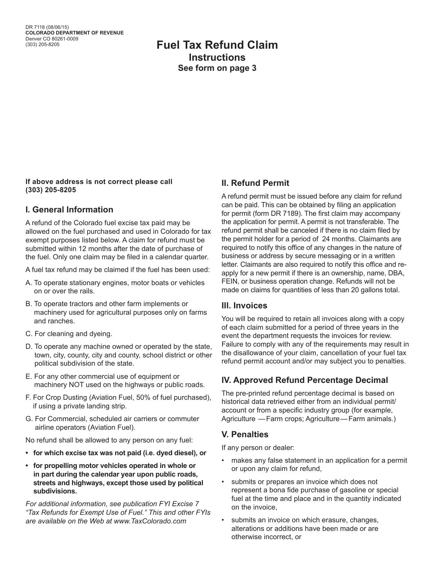## **Fuel Tax Refund Claim Instructions See form on page 3**

#### **If above address is not correct please call (303) 205-8205**

#### **I. General Information**

A refund of the Colorado fuel excise tax paid may be allowed on the fuel purchased and used in Colorado for tax exempt purposes listed below. A claim for refund must be submitted within 12 months after the date of purchase of the fuel. Only one claim may be filed in a calendar quarter.

A fuel tax refund may be claimed if the fuel has been used:

- A. To operate stationary engines, motor boats or vehicles on or over the rails.
- B. To operate tractors and other farm implements or machinery used for agricultural purposes only on farms and ranches.
- C. For cleaning and dyeing.
- D. To operate any machine owned or operated by the state, town, city, county, city and county, school district or other political subdivision of the state.
- E. For any other commercial use of equipment or machinery NOT used on the highways or public roads.
- F. For Crop Dusting (Aviation Fuel, 50% of fuel purchased), if using a private landing strip.
- G. For Commercial, scheduled air carriers or commuter airline operators (Aviation Fuel).

No refund shall be allowed to any person on any fuel:

- **for which excise tax was not paid (i.e. dyed diesel), or**
- **for propelling motor vehicles operated in whole or in part during the calendar year upon public roads, streets and highways, except those used by political subdivisions.**

*For additional information, see publication FYI Excise 7 "Tax Refunds for Exempt Use of Fuel." This and other FYIs are available on the Web at www.TaxColorado.com*

#### **II. Refund Permit**

A refund permit must be issued before any claim for refund can be paid. This can be obtained by filing an application for permit (form DR 7189). The first claim may accompany the application for permit. A permit is not transferable. The refund permit shall be canceled if there is no claim filed by the permit holder for a period of 24 months. Claimants are required to notify this office of any changes in the nature of business or address by secure messaging or in a written letter. Claimants are also required to notify this office and reapply for a new permit if there is an ownership, name, DBA, FEIN, or business operation change. Refunds will not be made on claims for quantities of less than 20 gallons total.

#### **Ill. Invoices**

You will be required to retain all invoices along with a copy of each claim submitted for a period of three years in the event the department requests the invoices for review. Failure to comply with any of the requirements may result in the disallowance of your claim, cancellation of your fuel tax refund permit account and/or may subject you to penalties.

## **IV. Approved Refund Percentage Decimal**

The pre-printed refund percentage decimal is based on historical data retrieved either from an individual permit/ account or from a specific industry group (for example, Agriculture —Farm crops; Agriculture—Farm animals.)

## **V. Penalties**

If any person or dealer:

- makes any false statement in an application for a permit or upon any claim for refund,
- submits or prepares an invoice which does not represent a bona fide purchase of gasoline or special fuel at the time and place and in the quantity indicated on the invoice,
- submits an invoice on which erasure, changes, alterations or additions have been made or are otherwise incorrect, or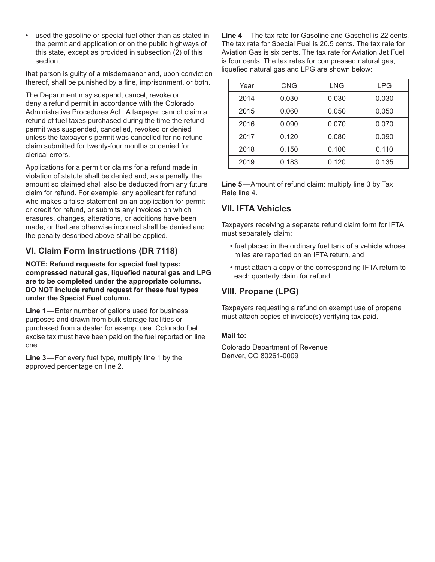used the gasoline or special fuel other than as stated in the permit and application or on the public highways of this state, except as provided in subsection (2) of this section,

that person is guilty of a misdemeanor and, upon conviction thereof, shall be punished by a fine, imprisonment, or both.

The Department may suspend, cancel, revoke or deny a refund permit in accordance with the Colorado Administrative Procedures Act. A taxpayer cannot claim a refund of fuel taxes purchased during the time the refund permit was suspended, cancelled, revoked or denied unless the taxpayer's permit was cancelled for no refund claim submitted for twenty-four months or denied for clerical errors.

Applications for a permit or claims for a refund made in violation of statute shall be denied and, as a penalty, the amount so claimed shall also be deducted from any future claim for refund. For example, any applicant for refund who makes a false statement on an application for permit or credit for refund, or submits any invoices on which erasures, changes, alterations, or additions have been made, or that are otherwise incorrect shall be denied and the penalty described above shall be applied.

## **VI. Claim Form Instructions (DR 7118)**

**NOTE: Refund requests for special fuel types: compressed natural gas, liquefied natural gas and LPG are to be completed under the appropriate columns. DO NOT include refund request for these fuel types under the Special Fuel column.**

**Line 1**—Enter number of gallons used for business purposes and drawn from bulk storage facilities or purchased from a dealer for exempt use. Colorado fuel excise tax must have been paid on the fuel reported on line one.

**Line 3**—For every fuel type, multiply line 1 by the approved percentage on line 2.

**Line 4**—The tax rate for Gasoline and Gasohol is 22 cents. The tax rate for Special Fuel is 20.5 cents. The tax rate for Aviation Gas is six cents. The tax rate for Aviation Jet Fuel is four cents. The tax rates for compressed natural gas, liquefied natural gas and LPG are shown below:

| Year | CNG   | LNG   | <b>LPG</b> |  |
|------|-------|-------|------------|--|
| 2014 | 0.030 | 0.030 | 0.030      |  |
| 2015 | 0.060 | 0.050 | 0.050      |  |
| 2016 | 0.090 | 0.070 | 0.070      |  |
| 2017 | 0.120 | 0.080 | 0.090      |  |
| 2018 | 0.150 | 0.100 | 0.110      |  |
| 2019 | 0.183 | 0.120 | 0.135      |  |

**Line 5**—Amount of refund claim: multiply line 3 by Tax Rate line 4.

#### **VII. IFTA Vehicles**

Taxpayers receiving a separate refund claim form for IFTA must separately claim:

- fuel placed in the ordinary fuel tank of a vehicle whose miles are reported on an IFTA return, and
- must attach a copy of the corresponding IFTA return to each quarterly claim for refund.

## **VIII. Propane (LPG)**

Taxpayers requesting a refund on exempt use of propane must attach copies of invoice(s) verifying tax paid.

#### **Mail to:**

Colorado Department of Revenue Denver, CO 80261-0009